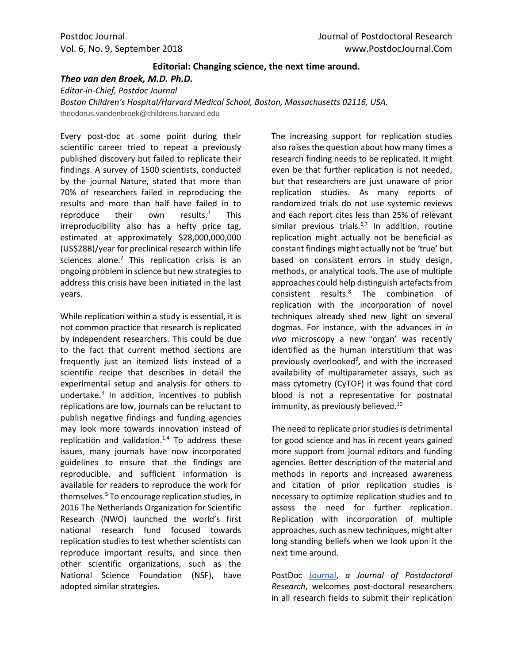## **Editorial: Changing science, the next time around.**

*Theo van den Broek, M.D. Ph.D.*

*Editor-in-Chief, Postdoc Journal*

*Boston Children's Hospital/Harvard Medical School, Boston, Massachusetts 02116, USA.* theodorus.vandenbroek@childrens.harvard.edu

Every post-doc at some point during their scientific career tried to repeat a previously published discovery but failed to replicate their findings. A survey of 1500 scientists, conducted by the journal Nature, stated that more than 70% of researchers failed in reproducing the results and more than half have failed in to reproduce their own results.<sup>1</sup> This irreproducibility also has a hefty price tag, estimated at approximately \$28,000,000,000 (US\$28B)/year for preclinical research within life sciences alone. $2$  This replication crisis is an ongoing problem in science but new strategies to address this crisis have been initiated in the last years.

While replication within a study is essential, it is not common practice that research is replicated by independent researchers. This could be due to the fact that current method sections are frequently just an itemized lists instead of a scientific recipe that describe**s** in detail the experimental setup and analysis for others to undertake.<sup>3</sup> In addition, incentives to publish replications are low, journals can be reluctant to publish negative findings and funding agencies may look more towards innovation instead of replication and validation. $1,4$  To address these issues, many journals have now incorporated guidelines to ensure that the findings are reproducible, and sufficient information is available for reader**s** to reproduce the work for themselves.<sup>5</sup> To encourage replication studies, in 2016 The Netherlands Organization for Scientific Research (NWO) launched the world's first national research fund focused towards replication studies to test whether scientists can reproduce important results, and since then other scientific organizations, such as the National Science Foundation (NSF), have adopted similar strategies.

The increasing support for replication studies also raises the question about how many times a research finding needs to be replicated. It might even be that further replication is not needed, but that researchers are just unaware of prior replication studies. As many reports of randomized trials do not use systemic reviews and each report cites less than 25% of relevant similar previous trials.<sup>6,7</sup> In addition, routine replication might actually not be beneficial as constant findings might actually not be 'true' but based on consistent errors in study design, methods, or analytical tools. The use of multiple approaches could help distinguish artefacts from consistent results.<sup>8</sup> The combination of replication with the incorporation of novel techniques already shed new light on several dogmas. For instance, with the advances in *in vivo* microscopy a new 'organ' was recently identified as the human interstitium that was previously overlooked<sup>9</sup>, and with the increased availability of multiparameter assays, such as mass cytometry (CyTOF) it was found that cord blood is not a representative for postnatal immunity, as previously believed.<sup>10</sup>

The need to replicate prior studies is detrimental for good science and has in recent years gained more support from journal editors and funding agencies. Better description of the material and methods in reports and increased awareness and citation of prior replication studies is necessary to optimize replication studies and to assess the need for further replication. Replication with incorporation of multiple approaches, such as new techniques, might alter long standing beliefs when we look upon it the next time around.

PostDoc [Journal,](http://www.postdocjournal.com/) *a Journal of Postdoctoral Research*, welcomes post-doctoral researchers in all research fields to submit their replication